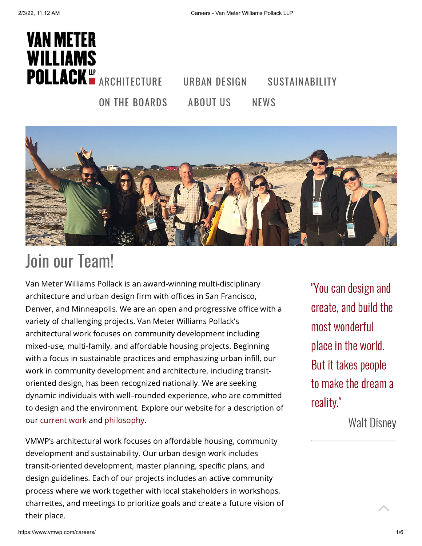



# Join our Team!

Van Meter Williams Pollack is an award-winning multi-disciplinary architecture and urban design firm with offices in San Francisco, Denver, and Minneapolis. We are an open and progressive office with a variety of challenging projects. Van Meter Williams Pollack's architectural work focuses on community development including mixed-use, multi-family, and affordable housing projects. Beginning with a focus in sustainable practices and emphasizing urban infill, our work in community development and architecture, including transitoriented design, has been recognized nationally. We are seeking dynamic individuals with well–rounded experience, who are committed to design and the environment. Explore our website for a description of our [current](https://www.vmwp.com/on-the-boards-index/) work and [philosophy.](https://www.vmwp.com/about-us/)

VMWP's architectural work focuses on affordable housing, community development and sustainability. Our urban design work includes transit-oriented development, master planning, specific plans, and design guidelines. Each of our projects includes an active community process where we work together with local stakeholders in workshops, charrettes, and meetings to prioritize goals and create a future vision of their place.

"You can design and create, and build the most wonderful place in the world. But it takes people to make the dream a reality."

Walt Disney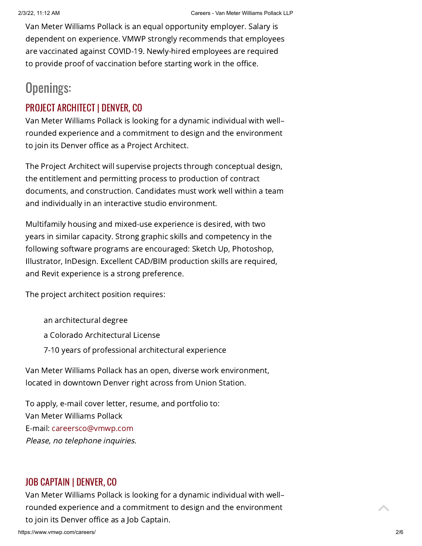Van Meter Williams Pollack is an equal opportunity employer. Salary is dependent on experience. VMWP strongly recommends that employees are vaccinated against COVID-19. Newly-hired employees are required to provide proof of vaccination before starting work in the office.

### Openings:

#### PROJECT ARCHITECT | DENVER, CO

Van Meter Williams Pollack is looking for a dynamic individual with well– rounded experience and a commitment to design and the environment to join its Denver office as a Project Architect.

The Project Architect will supervise projects through conceptual design, the entitlement and permitting process to production of contract documents, and construction. Candidates must work well within a team and individually in an interactive studio environment.

Multifamily housing and mixed-use experience is desired, with two years in similar capacity. Strong graphic skills and competency in the following software programs are encouraged: Sketch Up, Photoshop, Illustrator, InDesign. Excellent CAD/BIM production skills are required, and Revit experience is a strong preference.

The project architect position requires:

an architectural degree a Colorado Architectural License 7-10 years of professional architectural experience

Van Meter Williams Pollack has an open, diverse work environment, located in downtown Denver right across from Union Station.

To apply, e-mail cover letter, resume, and portfolio to: Van Meter Williams Pollack E-mail: [careersco@vmwp.com](mailto:careersco@vmwp.com?subject=Project%20Architect%20-%20VMWP%20Denver) Please, no telephone inquiries.

#### JOB CAPTAIN | DENVER, CO

Van Meter Williams Pollack is looking for a dynamic individual with well– rounded experience and a commitment to design and the environment to join its Denver office as <sup>a</sup> Job Captain.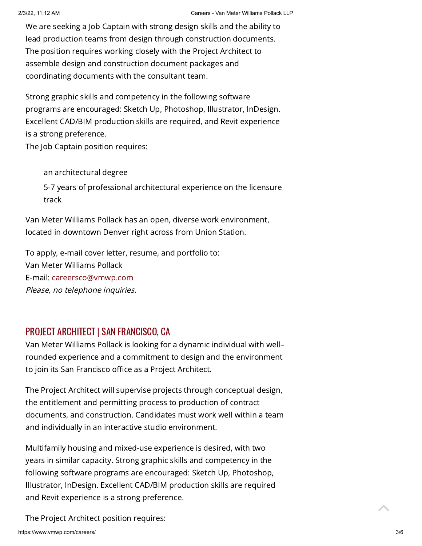We are seeking a Job Captain with strong design skills and the ability to lead production teams from design through construction documents. The position requires working closely with the Project Architect to assemble design and construction document packages and coordinating documents with the consultant team.

Strong graphic skills and competency in the following software programs are encouraged: Sketch Up, Photoshop, Illustrator, InDesign. Excellent CAD/BIM production skills are required, and Revit experience is a strong preference.

The Job Captain position requires:

an architectural degree 5-7 years of professional architectural experience on the licensure track

Van Meter Williams Pollack has an open, diverse work environment, located in downtown Denver right across from Union Station.

To apply, e-mail cover letter, resume, and portfolio to: Van Meter Williams Pollack E-mail: [careersco@vmwp.com](mailto:careersco@vmwp.com?subject=Project%20Architect%20-%20VMWP%20Denver) Please, no telephone inquiries.

#### PROJECT ARCHITECT | SAN FRANCISCO, CA

Van Meter Williams Pollack is looking for a dynamic individual with well– rounded experience and a commitment to design and the environment to join its San Francisco office as a Project Architect.

The Project Architect will supervise projects through conceptual design, the entitlement and permitting process to production of contract documents, and construction. Candidates must work well within a team and individually in an interactive studio environment.

Multifamily housing and mixed-use experience is desired, with two years in similar capacity. Strong graphic skills and competency in the following software programs are encouraged: Sketch Up, Photoshop, Illustrator, InDesign. Excellent CAD/BIM production skills are required and Revit experience is a strong preference.

The Project Architect position requires: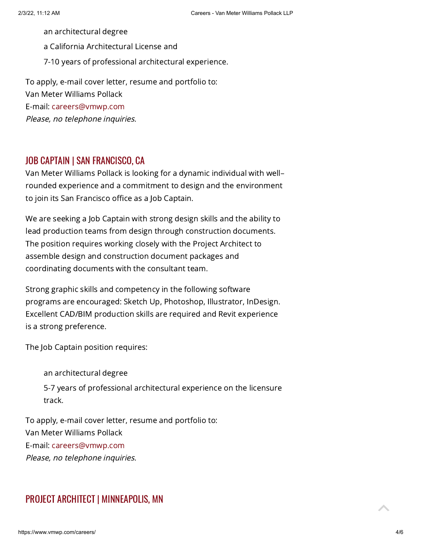an architectural degree

a California Architectural License and

7-10 years of professional architectural experience.

To apply, e-mail cover letter, resume and portfolio to: Van Meter Williams Pollack E-mail: [careers@vmwp.com](mailto:careers@vmwp.com) Please, no telephone inquiries.

#### JOB CAPTAIN | SAN FRANCISCO, CA

Van Meter Williams Pollack is looking for a dynamic individual with well– rounded experience and a commitment to design and the environment to join its San Francisco office as a Job Captain.

We are seeking a Job Captain with strong design skills and the ability to lead production teams from design through construction documents. The position requires working closely with the Project Architect to assemble design and construction document packages and coordinating documents with the consultant team.

Strong graphic skills and competency in the following software programs are encouraged: Sketch Up, Photoshop, Illustrator, InDesign. Excellent CAD/BIM production skills are required and Revit experience is a strong preference.

The Job Captain position requires:

an architectural degree

5-7 years of professional architectural experience on the licensure track.

To apply, e-mail cover letter, resume and portfolio to: Van Meter Williams Pollack E-mail: [careers@vmwp.com](mailto:careers@vmwp.com) Please, no telephone inquiries.

#### PROJECT ARCHITECT | MINNEAPOLIS, MN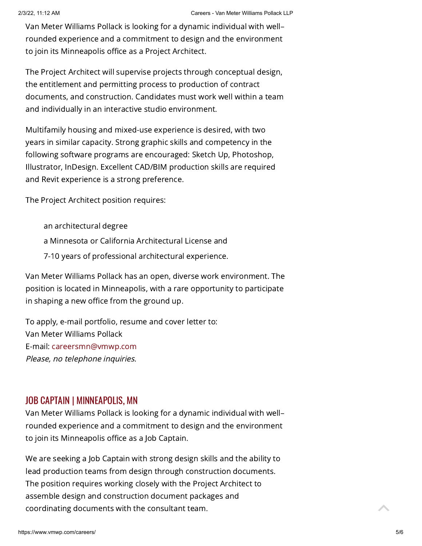Van Meter Williams Pollack is looking for a dynamic individual with well– rounded experience and a commitment to design and the environment to join its Minneapolis office as a Project Architect.

The Project Architect will supervise projects through conceptual design, the entitlement and permitting process to production of contract documents, and construction. Candidates must work well within a team and individually in an interactive studio environment.

Multifamily housing and mixed-use experience is desired, with two years in similar capacity. Strong graphic skills and competency in the following software programs are encouraged: Sketch Up, Photoshop, Illustrator, InDesign. Excellent CAD/BIM production skills are required and Revit experience is a strong preference.

The Project Architect position requires:

an architectural degree a Minnesota or California Architectural License and 7-10 years of professional architectural experience.

Van Meter Williams Pollack has an open, diverse work environment. The position is located in Minneapolis, with a rare opportunity to participate in shaping a new office from the ground up.

To apply, e-mail portfolio, resume and cover letter to: Van Meter Williams Pollack E-mail: [careersmn@vmwp.com](mailto:careersmn@vmwp.com) Please, no telephone inquiries.

#### JOB CAPTAIN | MINNEAPOLIS, MN

Van Meter Williams Pollack is looking for a dynamic individual with well– rounded experience and a commitment to design and the environment to join its Minneapolis office as a Job Captain.

We are seeking a Job Captain with strong design skills and the ability to lead production teams from design through construction documents. The position requires working closely with the Project Architect to assemble design and construction document packages and coordinating documents with the consultant team.